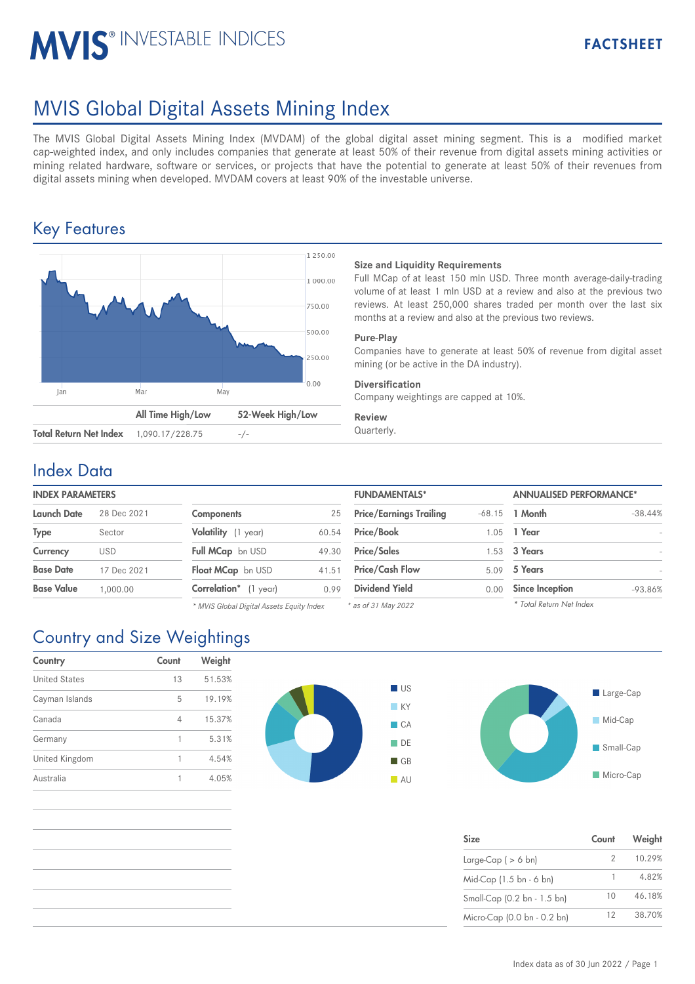# MVIS<sup>®</sup> INVESTABLE INDICES

# MVIS Global Digital Assets Mining Index

The MVIS Global Digital Assets Mining Index (MVDAM) of the global digital asset mining segment. This is a modified market cap-weighted index, and only includes companies that generate at least 50% of their revenue from digital assets mining activities or mining related hardware, software or services, or projects that have the potential to generate at least 50% of their revenues from digital assets mining when developed. MVDAM covers at least 90% of the investable universe.

## Key Features



#### **Size and Liquidity Requirements**

Full MCap of at least 150 mln USD. Three month average-daily-trading volume of at least 1 mln USD at a review and also at the previous two reviews. At least 250,000 shares traded per month over the last six months at a review and also at the previous two reviews.

#### **Pure-Play**

Companies have to generate at least 50% of revenue from digital asset mining (or be active in the DA industry).

#### **Diversification**

Company weightings are capped at 10%.

#### **Review**

## Index Data

| <b>INDEX PARAMETER:</b> |  |
|-------------------------|--|
|                         |  |

| Launch Date<br>28 Dec 2021 |             | <b>Components</b><br>25    |       | <b>Price/Earnings Trailing</b> |      | $-68.15$ 1 Month       |
|----------------------------|-------------|----------------------------|-------|--------------------------------|------|------------------------|
|                            |             |                            |       |                                |      |                        |
| <b>Type</b>                | Sector      | Volatility (1 year)        | 60.54 | <b>Price/Book</b>              | 1.05 | 1 Year                 |
| Currency                   | <b>USD</b>  | Full MCap bn USD           | 49.30 | <b>Price/Sales</b>             |      | 1.53 3 Years           |
| <b>Base Date</b>           | 17 Dec 2021 | Float MCap bn USD          | 41.51 | <b>Price/Cash Flow</b>         | 5.09 | 5 Years                |
| <b>Base Value</b>          | 1.000.00    | Correlation*<br>$(1$ year) | 0.99  | <b>Dividend Yield</b>          | 0.00 | <b>Since Inception</b> |
|                            |             |                            |       |                                |      |                        |

| <b>Components</b>        | 25    |
|--------------------------|-------|
| Volatility (1 year)      | 60.54 |
| Full MCap bn USD         | 49.30 |
| <b>Float MCap</b> bn USD | 41.51 |
| Correlation* (1 year)    | 0.99  |

*\* MVIS Global Digital Assets Equity Index*

| <b>INDEX PARAMETERS</b> |             |                                           |       | <b>FUNDAMENTALS*</b>           |          | <b>ANNUALISED PERFORMANCE*</b> |                          |
|-------------------------|-------------|-------------------------------------------|-------|--------------------------------|----------|--------------------------------|--------------------------|
| Launch Date             | 28 Dec 2021 | <b>Components</b>                         | 25    | <b>Price/Earnings Trailing</b> | $-68.15$ | 1 Month                        | $-38.44%$                |
| Type                    | Sector      | Volatility (1 year)                       | 60.54 | <b>Price/Book</b>              | .05      | 1 Year                         |                          |
| Currency                | <b>USD</b>  | Full MCap bn USD                          | 49.30 | <b>Price/Sales</b>             | .53      | 3 Years                        | $\overline{\phantom{0}}$ |
| Base Date               | 17 Dec 2021 | Float MCap bn USD                         | 41.51 | <b>Price/Cash Flow</b>         | 5.09     | 5 Years                        |                          |
| Base Value              | 1.000.00    | <b>Correlation</b> * (1 year)             | 0.99  | <b>Dividend Yield</b>          | 0.00     | <b>Since Inception</b>         | $-93.86%$                |
|                         |             | * MVIS Global Digital Assets Faulty Index |       | $*$ as of 31 May 2022          |          | * Total Return Net Index       |                          |

*\* as of 31 May 2022*



| <b>Size</b>                 | Count | Weight |
|-----------------------------|-------|--------|
| Large-Cap ( $> 6$ bn)       |       | 10.29% |
| Mid-Cap (1.5 bn - 6 bn)     |       | 4.82%  |
| Small-Cap (0.2 bn - 1.5 bn) | 10    | 46.18% |
| Micro-Cap (0.0 bn - 0.2 bn) | 12    | 38.70% |

## Country and Size Weightings

| Country              | Count | Weight |
|----------------------|-------|--------|
| <b>United States</b> | 13    | 51.53% |
| Cayman Islands       | 5     | 19.19% |
| Canada               | 4     | 15.37% |
| Germany              | 1     | 5.31%  |
| United Kingdom       | 1     | 4.54%  |
| Australia            |       | 4.05%  |



**Micro-Cap**